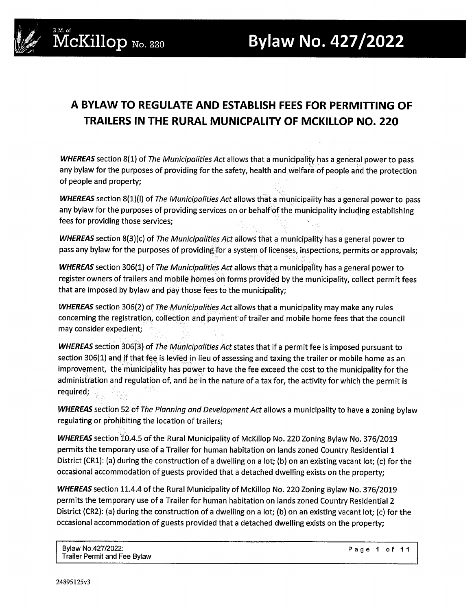

## **A BYLAW TO REGULATE AND ESTABLISH FEES FOR PERMITTING OF TRAILERS IN THE RURAL MUNICPALITY OF MCKILLOP NO. 220**

*WHEREAS* section 8(1) of *The Municipalities Act* allows that a municipality has a general power to pass any bylaw for the purposes of providing for the safety, health and welfare of people and the protection of people and property;

*WHEREAS* section 8(1)(i) of *The Municipalities Act* allows that a municipality has a general power to pass any bylaw for the purposes of providing services on or behalf of the municipality including establishing fees for providing those services;

*WHEREAS* section 8(3)(c) of *The Municipalities Act* allows that a municipality' has a general power to pass any bylaw for the purposes of providing for a system of licenses, inspections, permits or approvals;

*WHEREAS* section 306(1) of *The Municipalities Act* allows that a municipality has a general power to register owners of trailers and mobile homes on forms provided by the municipality, collect permit fees that are imposed by bylaw and pay those fees to the municipality;

*WHEREAS* section 306(2) of *The Municipalities Act* allows that a municipality may make any rules concerning the registration, collection and paynient of trailer and mobile home fees that the council may consider expedient;

*WHEREAS* section 306(3) of *The Municipalities Act* states that if a permit fee is imposed pursuant to section 306(1) and if that fee is levied in lieu of assessing and taxing the trailer or mobile home as an improvement, the municipality has power to have the fee exceed the cost to the municipality for the administration and regulation of, and be in the nature of a tax for, the activity for which the permit is required;

*WHEREAS* section 52 of *The Planning and Development Act* allows a municipality to have a zoning bylaw regulating or prohibiting the location of trailers;

*WHEREAS* section 10.4.5 of the Rural Municipality of McKillop No. 220 Zoning Bylaw No. 376/2019 permits the temporary use of a Trailer for human habitation on lands zoned Country Residential 1 District (CR1): (a) during the construction of a dwelling on a lot; (b) on an existing vacant lot; (c) for the occasional accommodation of guests provided that a detached dwelling exists on the property;

*WHEREAS* section 11.4.4 of the Rural Municipality of McKillop No. 220 Zoning Bylaw No. 376/2019 permits the temporary use of a Trailer for human habitation on lands zoned Country Residential 2 District (CR2): (a) during the construction of a dwelling on a lot; (b) on an existing vacant lot; (c) for the occasional accommodation of guests provided that a detached dwelling exists on the property;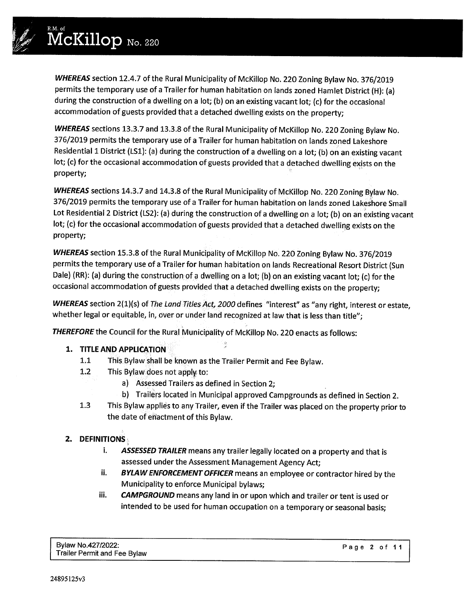*Iy../*

*WHEREAS* section 12.4.7 of the Rural Municipality of McKillop No. 220 Zoning Bylaw No. 376/2019 permits the temporary use of a Trailer for human habitation on lands zoned Hamlet District (H): (a) during the construction of a dwelling on a lot; (b) on an existing vacant lot; (c) for the occasional accommodation of guests provided that a detached dwelling exists on the property;

*WHEREAS* sections 13.3.7 and 13.3.8 of the Rural Municipality of McKillop No. 220 Zoning Bylaw No. 376/2019 permits the temporary use of a Trailer for human habitation on lands zoned Lakeshore Residential 1 District (LS1): (a) during the construction of a dwelling on a lot; (b) on an existing vacant lot; (c) for the occasional accommodation of guests provided that a detached dwelling exists on the property;

*WHEREAS* sections 14.3.7 and 14.3.8 of the Rural Municipality of McKillop No. 220 Zoning Bylaw No. 376/2019 permits the temporary use of a Trailer for human habitation on lands zoned Lakeshore Small Lot Residential 2 District (LS2): (a) during the construction of a dwelling on a lot; (b) on an existing vacant lot; (c) for the occasional accommodation of guests provided that a detached dwelling exists on the property;

*WHEREAS* section 15.3.8 of the Rural Municipality of McKillop No. 220 Zoning Bylaw No. 376/2019 permits the temporary use of a Trailer for human habitation on lands Recreational Resort District (Sun Dale) (RR): (a) during the construction of a dwelling on a lot; (b) on an existing vacant lot; (c) for the occasional accommodation of guests provided that a detached dwelling exists on the property;

*WHEREAS* section 2(1)(s) of *The Land Titles Act, 2000* defines "interest" as "any right, interest or estate, whether legal or equitable, in, over or under land recognized at law that is less than title";

 $\frac{\partial \phi}{\partial t}$ 

*THEREFORE* the Council for the Rural Municipality of McKillop No. 220 enacts as follows:

#### **1. TITLE AND APPLICATION**

- 1.1 This Bylaw shall be known as the Trailer Permit and Fee Bylaw.
- 1.2 This Bylaw does not apply to:
	- a) Assessed Trailers as defined in Section 2;
	- b) Trailers located in Municipal approved Campgrounds as defined in Section 2.
- 1.3 This Bylaw applies to any Trailer, even if the Trailer was placed on the property prior to the date of eriactment of this Bylaw.

## **2. DEFINITIONS·**

- i. *ASSESSED TRAILER* means any trailer legally located on a property and that is assessed under the Assessment Management Agency Act;
- ii. *BYLAW ENFORCEMENT OFFICER* means an employee or contractor hired by the Municipality to enforce Municipal bylaws;
- iii. *CAMPGROUND* means any land in or upon which and trailer or tent is used or intended to be used for human occupation on a temporary or seasonal basis;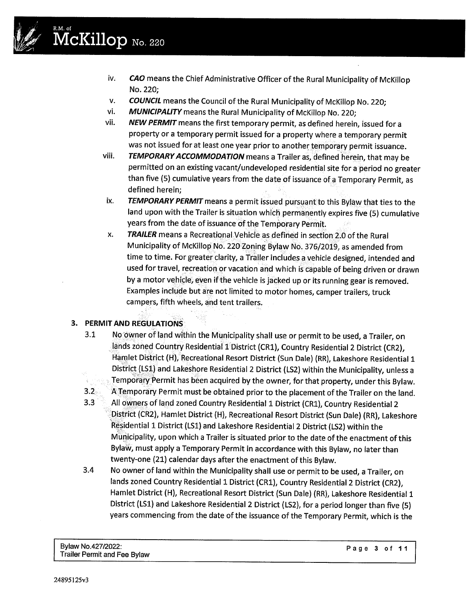

# **McKillop** No. 220

- iv. **CAO** means the Chief Administrative Officer of the Rural Municipality of McKillop No. 220;
- v. *COUNCIL* means the Council of the Rural Municipality of McKillop No. 220;
- vi. *MUNICIPALITY* means the Rural Municipality of McKillop No. 220;
- vii. *NEW PERMIT* means the first temporary permit, as defined herein, issued for a property or a temporary permit issued for a property where a temporary permit was not issued for at least one year prior to another temporary permit issuance.
- viii. *TEMPORARY ACCOMMODATION* means a Trailer as, defined herein, that may be permitted on an existing vacant/undeveloped residential site for a period no greater than five (5) cumulative years from the date of issuance of a Temporary Permit, as defined herein;
- ix. *TEMPORARY PERMIT* means a permit issued pursuant to this Bylaw that ties to the land upon with the Trailer is situation which permanently expires five (5) cumulative years from the date of issuance of the Temporary Permit
- x. *TRAILER* means a RecreationalVehicie as defined in section 2.0 of the Rural Municipality of McKillop No. 220 Zoning Bylaw No. 376/2019, as amended from time to time. For greater clarity, a Trailer includes a vehicle designed, intended and used for travel, recreation or vacation and which is capable of being driven or drawn by a motor vehicle, even if the vehicle is jacked up or its running gear is removed. Examples include but are not limited to motor homes, camper trailers, truck campers, fifth wheels, and tent trailers.

## 3. **PERMIT AND REGULATIONS**

3.1 No owner of land within the Municipality shall use or permit to be used, a Trailer, on lands zoned Country Residential 1 District (CR1), Country Residential 2 District (CR2), Hamlet District (H), Recreational Resort District (Sun Dale) (RR), Lakeshore Residential 1 District (LSi) and Lakeshore Residential 2 District (LS2) within the Municipality, unless a

Temporary Permit has been acquired by the owner, for that property, under this Bylaw.

- 3.2 A Temporary Permit must be obtained prior to the placement of the Trailer on the land.
- 3.3 All owners of land zoned Country Residential 1 District (CR1), Country Residential 2 District (CR2), Hamlet District (H), Recreational Resort District (Sun Dale) (RR), Lakeshore Residential 1 District (LS1) and Lakeshore Residential 2 District (LS2) within the Municipality, upon which a Trailer is situated prior to the date of the enactment of this Bylaw, must apply a Temporary Permit in accordance with this Bylaw, no later than twenty-one (21) calendar days after the enactment of this Bylaw.
- 3.4 No owner of land within the Municipality shall use or permit to be used, a Trailer, on lands zoned Country Residential 1 District (CR1), Country Residential 2 District (CR2), Hamlet District (H), Recreational Resort District (Sun Dale) (RR), Lakeshore Residential 1 District (LSi) and Lakeshore Residential 2 District (LS2), for a period longer than five (5) years commencing from the date of the issuance of the Temporary Permit, which is the

Bylaw *No.427/2022:* Trailer Permit and Fee Bylaw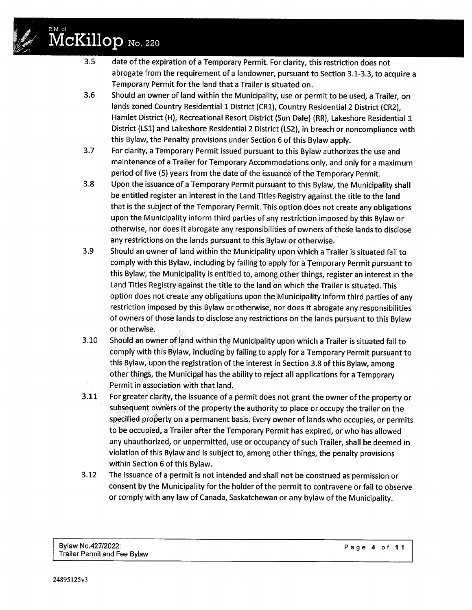## R.M. of /:?" **McKillop** No. <sup>220</sup>

 $\mathscr{D}$  :

- 3.5 date of the expiration of a Temporary Permit. For clarity, this restriction does not abrogate from the requirement of a landowner, pursuant to Section 3.1-3.3, to acquire a Temporary Permit for the land that a Trailer is situated on.
- 3.6 Should an owner of land within the Municipality, use or permit to be used, a Trailer, on lands zoned Country Residential 1 District (CR1), Country Residential 2 District (CR2), Hamlet District (H), Recreational Resort District (Sun Dale) (RR), Lakeshore Residential 1 District (LSi) and Lakeshore Residential 2 District (LS2), in breach or noncompliance with this Bylaw, the Penalty provisions under Section 6 of this Bylaw apply.
- 3.7 For clarity, a Temporary Permit issued pursuant to this Bylaw authorizes the use and maintenance of a Trailer for Temporary Accommodations only, and only for a maximum period of five (5) years from the date of the issuance of the Temporary Permit.
- 3.8 Upon the issuance of a Temporary Permit pursuant to this Bylaw, the Municipality shall be entitled register an interest in the Land Titles Registry against the title to the land that is the subject of the Temporary Permit. This option does not create any obligations upon the Municipality inform third parties of any restriction imposed by this Bylaw or otherwise, nor does it abrogate any responsibilities of owners of those lands to disclose any restrictions on the lands pursuant to this Bylaw or otherwise.
- 3.9 Should an owner of land within the Municipality upon which a Trailer is situated fail to comply with this Bylaw, including by failing to apply for a Temporary Permit pursuant to this Bylaw, the Municipality is entitled to, among other things, register an interest in the Land Titles Registry against the title to the land on which the Trailer is situated. This option does not create any obligations upon the Municipality inform third parties of any restriction imposed by this Bylaw or otherwise, nor does it abrogate any responsibilities of owners of those lands to disclose any restrictions on the lands pursuant to this Bylaw or otherwise.
- 3.10 Should an owner of land within the Municipality upon which a Trailer is situated fail to comply with this Bylaw, including by failing to apply for a Temporary Permit pursuant to this Bylaw, upon the registration of the interest in Section 3.8 of this Bylaw, among other things, the Municipal has the ability to reject all applications for a Temporary Permit in association with that land.
- 3.11 For greater clarity, the issuance of a permit does not grant the owner of the property or subsequent own'ers of the property the authority to place or occupy the trailer on the specified property on a permanent basis. Every owner of lands who occupies, or permits to be occupied, a Trailer after the Temporary Permit has expired, or who has allowed any unauthorized, or unpermitted, use or occupancy of such Trailer, shall be deemed in violation of this Bylaw and is subject to, among other things, the penalty provisions within Section 6 of this Bylaw.
- 3.12 The issuance of a permit is not intended and shall not be construed as permission or consent by the Municipality for the holder of the permit to contravene or fail to observe or comply with any law of Canada, Saskatchewan or any bylaw of the Municipality.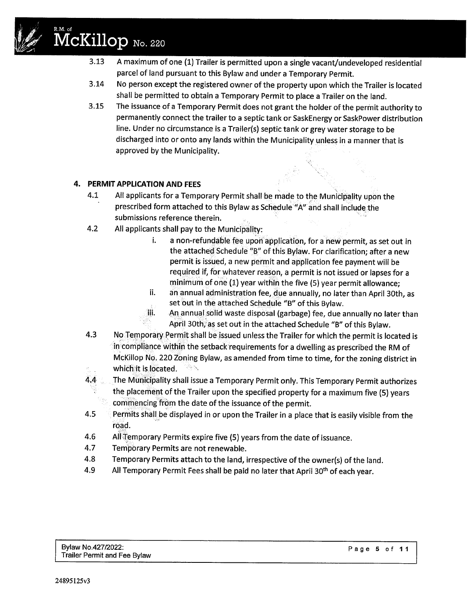

# **McKillop** No. 220

- 3.13 A maximum of one (1) Trailer is permitted upon a single vacant/undeveloped residential parcel of land pursuant to this Bylaw and under a Temporary Permit.
- 3.14 No person except the registered owner of the property upon which the Trailer is located shall be permitted to obtain a Temporary Permit to place a Trailer on the land.
- 3.15 The issuance of a Temporary Permit does not grant the holder of the permit authority to permanently connect the trailer to a septic tank or SaskEnergy or SaskPower distribution line. Under no circumstance is a Trailer(s) septic tank or grey water storage to be discharged into or onto any lands within the Municipality unless in a manner that is approved by the Municipality.

### 4. **PERMIT APPLICATION AND FEES**

- 4.1 All applicants for a Temporary Permit shall be made to the Municipality upon the prescribed form attached to this Bylaw as Schedule "A" and shall include the submissions reference therein.
- 4.2 All applicants shall pay to the Municipality:
	- i. a non-refundable fee upon application, for a new permit, as set out in the attached Schedule "B" of this Bylaw. For clarification; after a new permit is issued, a new permit and application fee payment will be required if, for whatever reason, a permit is not issued or lapses for a minimum of one (1) year within the five (5) year permit allowance;
	- ii. an annual administration fee, due annually, no later than April 30th, as set out in the attached Schedule "B" of this Bylaw.
	- iii. An annual solid waste disposal (garbage) fee, due annually no later than April 30th, as set out in the attached Schedule "B" of this Bylaw.
- 4.3 No Temporary Permit shall be issued unless the Trailer for which the permit is located is in compliance within the setback requirements for a dwelling as prescribed the RM of McKillop No. 220 Zoning Bylaw, as amended from time to time, for the zoning district in which it is located. 冷く
- 4.4 The Municipality shall issue a Temporary Permit only. This Temporary Permit authorizes the placement of the Trailer upon the specified property for a maximum five (5) years commencing from the date of the issuance of the permit.
- 4.5 **Permits shall be displayed in or upon the Trailer in a place that is easily visible from the** road.
- 4.6 All Temporary Permits expire five (5) years from the date of issuance.
- 4.7 Temporary Permits are not renewable.
- 4.8 Temporary Permits attach to the land, irrespective of the owner(s) of the land.
- 4.9 All Temporary Permit Fees shall be paid no later that April 30<sup>th</sup> of each year.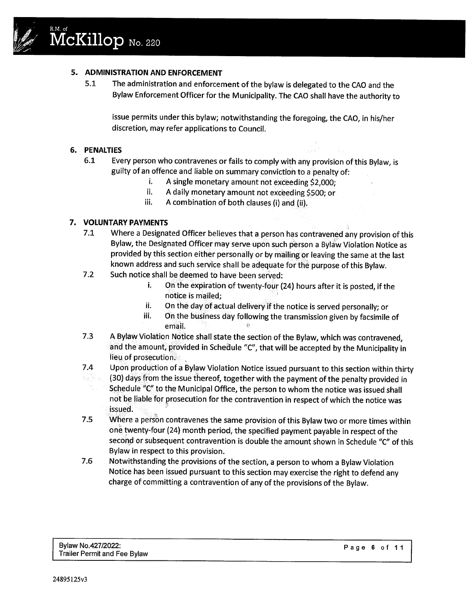

#### S. **ADMINISTRATION AND ENFORCEMENT**

5.1 The administration and enforcement of the bylaw is delegated to the CAO and the Bylaw Enforcement Officer for the Municipality. The CAO shall have the authority to

issue permits under this bylaw; notwithstanding the foregoing, the CAO, in his/her discretion, may refer applications to Council.

#### 6. **PENALTIES**

- 6.1 Every person who contravenes or fails to comply with any provision of this Bylaw, is guilty of an offence and liable on summary conviction to a penalty of:
	- i. A single monetary amount not exceeding \$2,000;
	- ii. A daily monetary amount not exceeding \$500; or
	- iii. A combination of both clauses (i) and (ii).

#### 7. **VOLUNTARY PAYMENTS**

- 7.1 Where a Designated Officer believes that a person has contravened any provision of this Bylaw, the Designated Officer may serve upon such person a Bylaw Violation Notice as provided by this section either personally or by mailing or leaving the same at the last known address and such service shall be adequate for the purpose of this Bylaw.
- 7.2 Such notice shall be deemed to have been served:
	- i. On the expiration of twenty-four (24) hours after it is posted, if the notice is mailed;
	- ii. On the day of actual delivery if the notice is served personally; or
	- iii. On the business day following the transmission given by facsimile of email.
- 7.3 A Bylaw Violation Notice shall state the section of the Bylaw, which was contravened, and the amount, provided in Schedule "C", that will be accepted by the Municipality in lieu of prosecution.
- 7.4 Upon production of a Bylaw Violation Notice issued pursuant to this section within thirty
- (30) days from the issue thereof, together with the payment of the penalty provided in 秘密 Schedule "C" to the Municipal Office, the person to whom the notice was issued shall not be liable for prosecution for the contravention in respect of which the notice was issued. .
- 7.s Where a person contravenes the same provision of this Bylaw two or more times within one twenty-four (24) month period, the specified payment payable in respect of the second or subsequent contravention is double the amount shown in Schedule "C" of this Bylaw in respect to this provision.
- 7.6 Notwithstanding the provisions of the section, a person to whom a Bylaw Violation Notice has been issued pursuant to this section may exercise the right to defend any charge of committing a contravention of any of the provisions of the Bylaw.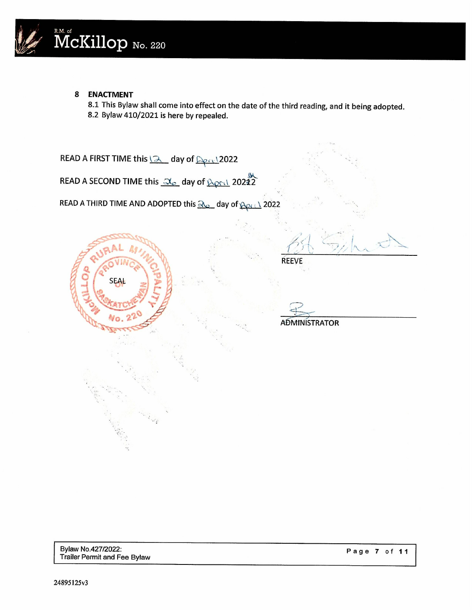

#### **8 ENACTMENT**

8.1 This Bylaw shall come into effect on the date of the third reading, and it being adopted. 8.2 Bylaw 410/2021 is here by repealed.

READ A FIRST TIME this  $2$  day of  $222$ READ A SECOND TIME this  $\frac{1}{2}$  day of  $\frac{1}{2}$  20212 READ A THIRD TIME AND ADOPTED this  $\frac{2}{2}$  day of  $\frac{2}{12}$  2022 i .'  $/$  $\ell > 1$  $\backslash$  $\omega$ REEVE SEAL **ADMINISTRATOR**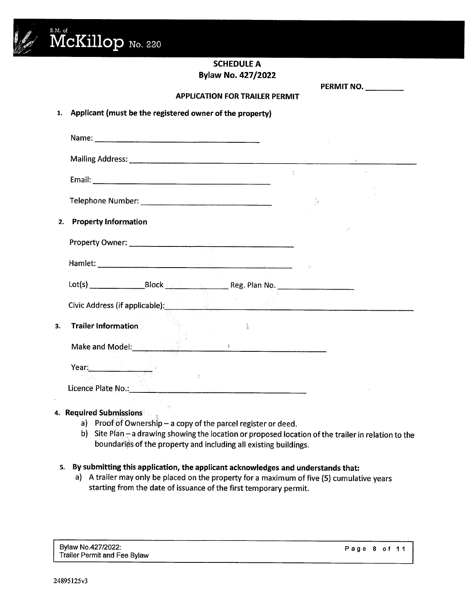

## **SCHEDULE A Bylaw No. 427/2022**

**PERMIT NO. \_**

#### **APPLICATION FOR TRAILER PERMIT**

#### 1. **Applicant (must be the registered owner of the property)**

|                                                                                                                       | $\sum_{i\in\mathcal{I}}$ |     |
|-----------------------------------------------------------------------------------------------------------------------|--------------------------|-----|
| <b>Property Information</b><br>2.                                                                                     |                          | -51 |
|                                                                                                                       |                          |     |
|                                                                                                                       |                          |     |
|                                                                                                                       |                          |     |
| <b>Civic Address (if applicable): A consequently applicable in the consequent of the consequent of the consequent</b> |                          |     |
| <b>Trailer Information</b><br>3.                                                                                      |                          |     |
| Make and Model: The Contract of the Make and Model:                                                                   |                          |     |
| Year: 1999                                                                                                            |                          |     |
| Licence Plate No.:                                                                                                    |                          |     |

### 4. **Required Submissions**

- a) Proof of Ownership  $-$  a copy of the parcel register or deed.
- b) Site Plan  $-$  a drawing showing the location or proposed location of the trailer in relation to the boundaries of the property and including all existing buildings.

#### 5. **By submitting this application, the applicant acknowledges and understands that:**

a) A trailer may only be placed on the property for a maximum of five (5) cumulative years starting from the date of issuance of the first temporary permit.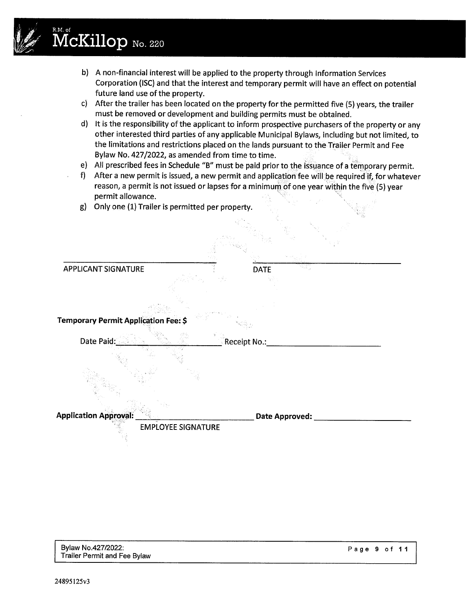# $\mathscr{W}$  **McKillop** No. 220

 $\mathscr{C}$ 

- b) A non-financial interest will be applied to the property through Information Services Corporation (ISC) and that the interest and temporary permit will have an effect on potential future land use of the property.
- c) After the trailer has been located on the property for the permitted five (5) years, the trailer must be removed or development and building permits must be obtained.
- d) It is the responsibility of the applicant to inform prospective purchasers of the property or any other interested third parties of any applicable Municipal Bylaws, including but not limited, to the limitations and restrictions placed on the lands pursuant to the Trailer Permit and Fee Bylaw No. 427/2022, as amended from time to time.
- e) All prescribed fees in Schedule "B" must be paid prior to the issuance of a temporary permit.
- f) After a new permit is issued, a new permit and application fee will be required if, for whatever reason, a permit is not issued or lapses for a minimum of one year within the five (5) year permit allowance.
- g) Only one (1) Trailer is permitted per property.

| <b>APPLICANT SIGNATURE</b>                  | <b>DATE</b>            |  |
|---------------------------------------------|------------------------|--|
|                                             |                        |  |
| <b>Temporary Permit Application Fee: \$</b> |                        |  |
| Date Paid:                                  | $\lbrack$ Receipt No.: |  |
|                                             |                        |  |
|                                             |                        |  |
| <b>Application Approval:</b>                | <b>Date Approved:</b>  |  |
| <b>EMPLOYEE SIGNATURE</b>                   |                        |  |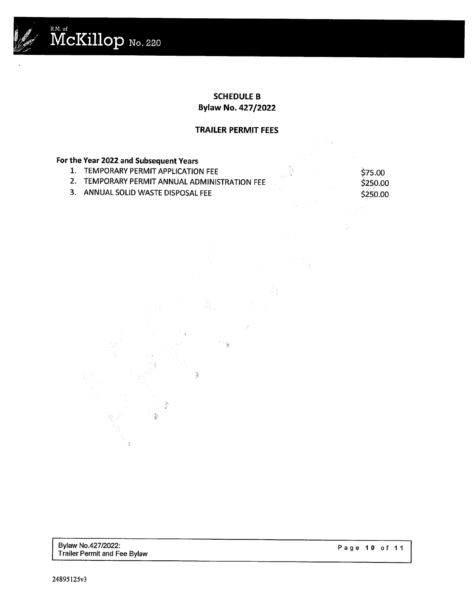

#### **SCHEDULE B Bylaw No. 427/2022**

#### **TRAILER PERMIT FEES**

## **For the Year 2022 and Subsequent Years**

- 1. TEMPORARY PERMIT APPLICATION FEE
- 2. TEMPORARY PERMIT ANNUAL ADMINISTRATION FEE

્ટુ

3. ANNUAL SOLID WASTE DISPOSALFEE

\$75.00 \$250.00 \$250.00